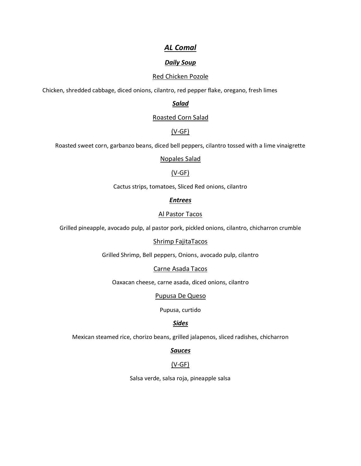# *AL Comal*

## *Daily Soup*

## Red Chicken Pozole

Chicken, shredded cabbage, diced onions, cilantro, red pepper flake, oregano, fresh limes

*Salad* 

#### Roasted Corn Salad

## (V-GF)

Roasted sweet corn, garbanzo beans, diced bell peppers, cilantro tossed with a lime vinaigrette

#### Nopales Salad

## (V-GF)

Cactus strips, tomatoes, Sliced Red onions, cilantro

#### *Entrees*

#### Al Pastor Tacos

Grilled pineapple, avocado pulp, al pastor pork, pickled onions, cilantro, chicharron crumble

#### Shrimp FajitaTacos

Grilled Shrimp, Bell peppers, Onions, avocado pulp, cilantro

#### Carne Asada Tacos

Oaxacan cheese, carne asada, diced onions, cilantro

#### Pupusa De Queso

Pupusa, curtido

## *Sides*

Mexican steamed rice, chorizo beans, grilled jalapenos, sliced radishes, chicharron

#### *Sauces*

## (V-GF)

Salsa verde, salsa roja, pineapple salsa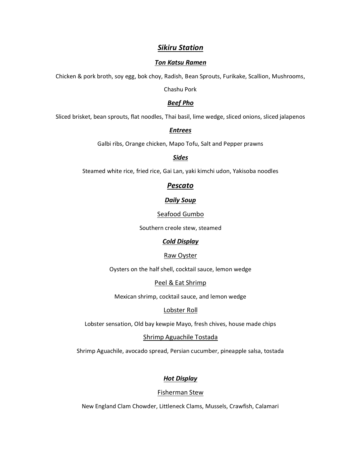## *Sikiru Station*

#### *Ton Katsu Ramen*

Chicken & pork broth, soy egg, bok choy, Radish, Bean Sprouts, Furikake, Scallion, Mushrooms,

Chashu Pork

### *Beef Pho*

Sliced brisket, bean sprouts, flat noodles, Thai basil, lime wedge, sliced onions, sliced jalapenos

#### *Entrees*

Galbi ribs, Orange chicken, Mapo Tofu, Salt and Pepper prawns

#### *Sides*

Steamed white rice, fried rice, Gai Lan, yaki kimchi udon, Yakisoba noodles

## *Pescato*

#### *Daily Soup*

#### Seafood Gumbo

Southern creole stew, steamed

## *Cold Display*

## Raw Oyster

Oysters on the half shell, cocktail sauce, lemon wedge

#### Peel & Eat Shrimp

Mexican shrimp, cocktail sauce, and lemon wedge

#### Lobster Roll

Lobster sensation, Old bay kewpie Mayo, fresh chives, house made chips

#### Shrimp Aguachile Tostada

Shrimp Aguachile, avocado spread, Persian cucumber, pineapple salsa, tostada

## *Hot Display*

#### Fisherman Stew

New England Clam Chowder, Littleneck Clams, Mussels, Crawfish, Calamari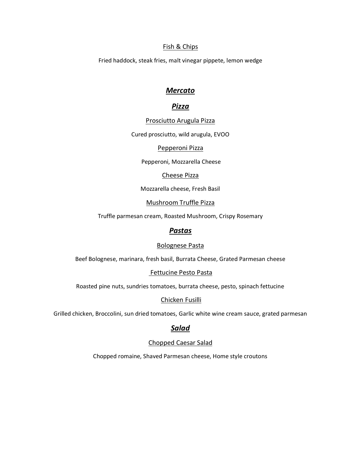### Fish & Chips

Fried haddock, steak fries, malt vinegar pippete, lemon wedge

## *Mercato*

## *Pizza*

#### Prosciutto Arugula Pizza

Cured prosciutto, wild arugula, EVOO

## Pepperoni Pizza

Pepperoni, Mozzarella Cheese

#### Cheese Pizza

Mozzarella cheese, Fresh Basil

## Mushroom Truffle Pizza

Truffle parmesan cream, Roasted Mushroom, Crispy Rosemary

## *Pastas*

#### Bolognese Pasta

Beef Bolognese, marinara, fresh basil, Burrata Cheese, Grated Parmesan cheese

## Fettucine Pesto Pasta

Roasted pine nuts, sundries tomatoes, burrata cheese, pesto, spinach fettucine

#### Chicken Fusilli

Grilled chicken, Broccolini, sun dried tomatoes, Garlic white wine cream sauce, grated parmesan

## *Salad*

## Chopped Caesar Salad

Chopped romaine, Shaved Parmesan cheese, Home style croutons